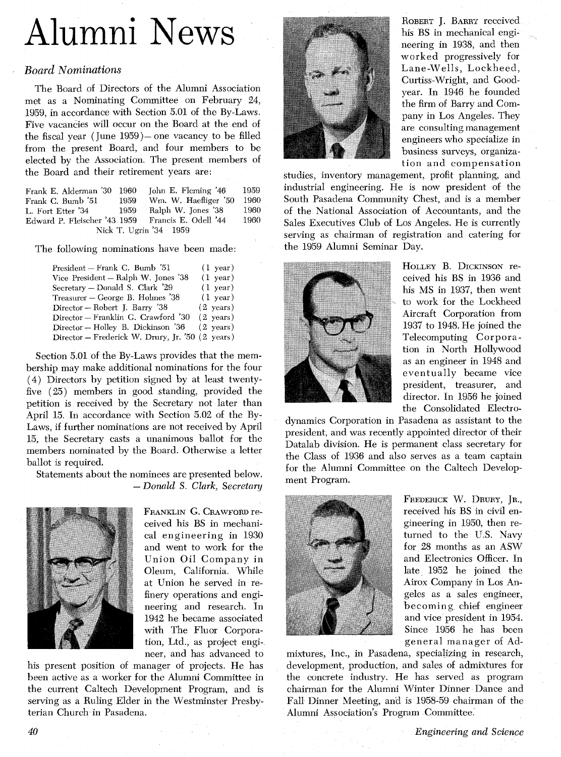## Alumni News

## *Board Nominations*

The Board of Directors of the Alumni Association met as a Nominating Committee on February 24, 1959, in accordance with Section 5.01 of the By-Laws. Five vacancies will occur on the Board at the end of the fiscal year (June  $1959$ ) - one vacancy to be filled from the present Board, and four members to be elected by the Association. The present members of the Board and their retirement years are:

| Frank E. Alderman '30 1960                        |      | John E. Fleming '46     | 1959  |  |
|---------------------------------------------------|------|-------------------------|-------|--|
| Frank C. Bumb '51                                 | 1959 | Wm. W. Haefliger '50    | -1960 |  |
| L. Fort Etter '34                                 |      | 1959 Ralph W. Jones '38 | 1960  |  |
| Edward P. Fleischer '43 1959 Francis E. Odell '44 |      |                         | 1960. |  |
| Nick T. Ugrin '34 1959                            |      |                         |       |  |

The following nominations have been made:

| President – Frank C. Bumb '51                    | $(1 \text{ year})$  |
|--------------------------------------------------|---------------------|
| Vice President – Ralph W. Jones '38              | $(1 \text{ year})$  |
| Secretary – Donald S. Clark '29                  | $(1 \text{ year})$  |
| Treasurer – George B. Holmes '38                 | $(1 \text{ year})$  |
| Director – Robert J. Barry '38                   | $(2 \text{ years})$ |
| Director – Franklin G. Crawford '30              | $(2 \text{ years})$ |
| Director - Holley B. Dickinson '36               | $(2 \text{ years})$ |
| Director – Frederick W. Drury, Jr. '50 (2 years) |                     |
|                                                  |                     |

Section 5.01 of the By-Laws provides that the membership may make additional nominations for the four (4) Directors by petition signed by at least twentyfive (25) members in good standing, provided the petition is received by the Secretary not later than April 15. In accordance with Section 5.02 of the By-Laws, if further nominations are not received by April 15, the Secretary casts a unanimous ballot for the members nominated by the Board. Otherwise a letter ballot is required.

Statements about the nominees are presented below. *-Donald* S. *Clark, Secretary* 



FRANKLIN *G.* CRAWFORD received his BS in mechanical engineering in 1930 and went to work for the Union Oil Company in Oleum, California. While at Union he served in refinery operations and engineering and research. In 1942 he became associated with The Fluor Corporation, Ltd., as project engineer, and has advanced to

his present position of manager of projects. He has been active as a worker for the Alumni Committee in the current Caltech Development Program, and is serving as a Ruling Elder in the Westminster Presbyterian Church in Pasadena.



ROBERT J. BARRY received his BS in mechanical engineering in 1938, and then worked progressively for Lane-Wells, Lockheed, Curtiss-Wright, and Goodyear. In 1946 he founded the firm of Barry and Company in Los Angeles. They are consulting management engineers who specialize in business surveys, organization and compensation

studies, inventory management, profit planning, and industrial engineering. He is now president of the South Pasadena Community Chest, and is a member of the National Association of Accountants, and the Sales Executives Club of Los Angeles. He is currently serving as chairman of registration and catering for the 1959 Alumni Seminar Day.



HOLLEY B. DICKINSON received his BS in 1936 and his MS in 1937, then went to work for the Lockheed Aircraft Corporation from 1937 to 1948. He joined the Telecomputing Corpora tion in North Hollywood as an engineer in 1948 and eventually became vice president, treasurer, and director. In 1956 he joined the Consolidated Electro-

dynamics Corporation in Pasadena as assistant to the president, and was recently appointed director of their Datalab division. He is permanent class secretary for the Class of 1936 and also serves as a team captain for the Alumni Committee on the Caltech Development Program.



FREDERICK W. DRURY, JR., received his BS in civil engineering in 1950, then returned to the U.S. Navy for 28 months as an ASW and Electronics Officer. In late 1952 he joined the Airox Company in Los Angeles as a sales engineer, becoming chief engineer and vice president in 1954. Since 1956 he has been general manager of Ad-

mixtures, Inc., in Pasadena, specializing in research, development, production, and sales of admixtures for the concrete industry. He has served as program chairman for the Alumni Winter Dinner Dance and Fall Dinner Meeting, and is 1958-59 chairman of the Alumni Association's Program Committee.

*40 Engineering and Science*